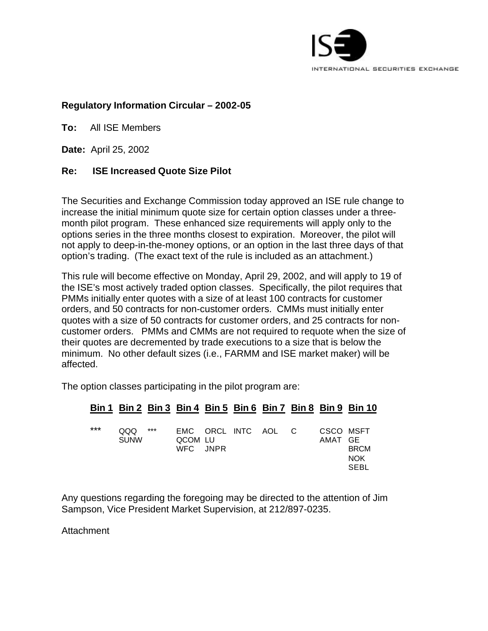

# **Regulatory Information Circular – 2002-05**

**To:** All ISE Members

**Date:** April 25, 2002

### **Re: ISE Increased Quote Size Pilot**

The Securities and Exchange Commission today approved an ISE rule change to increase the initial minimum quote size for certain option classes under a threemonth pilot program. These enhanced size requirements will apply only to the options series in the three months closest to expiration. Moreover, the pilot will not apply to deep-in-the-money options, or an option in the last three days of that option's trading. (The exact text of the rule is included as an attachment.)

This rule will become effective on Monday, April 29, 2002, and will apply to 19 of the ISE's most actively traded option classes. Specifically, the pilot requires that PMMs initially enter quotes with a size of at least 100 contracts for customer orders, and 50 contracts for non-customer orders. CMMs must initially enter quotes with a size of 50 contracts for customer orders, and 25 contracts for noncustomer orders. PMMs and CMMs are not required to requote when the size of their quotes are decremented by trade executions to a size that is below the minimum. No other default sizes (i.e., FARMM and ISE market maker) will be affected.

The option classes participating in the pilot program are:

# **Bin 1 Bin 2 Bin 3 Bin 4 Bin 5 Bin 6 Bin 7 Bin 8 Bin 9 Bin 10**

| $***$ | QQQ<br>SUNW | $***$ | QCOM LU<br>WFC JNPR | EMC ORCL INTC AOL C |  |  |  | CSCO MSFT<br>AMAT GE | <b>BRCM</b><br><b>NOK</b><br>SEBL |
|-------|-------------|-------|---------------------|---------------------|--|--|--|----------------------|-----------------------------------|
|-------|-------------|-------|---------------------|---------------------|--|--|--|----------------------|-----------------------------------|

Any questions regarding the foregoing may be directed to the attention of Jim Sampson, Vice President Market Supervision, at 212/897-0235.

**Attachment**